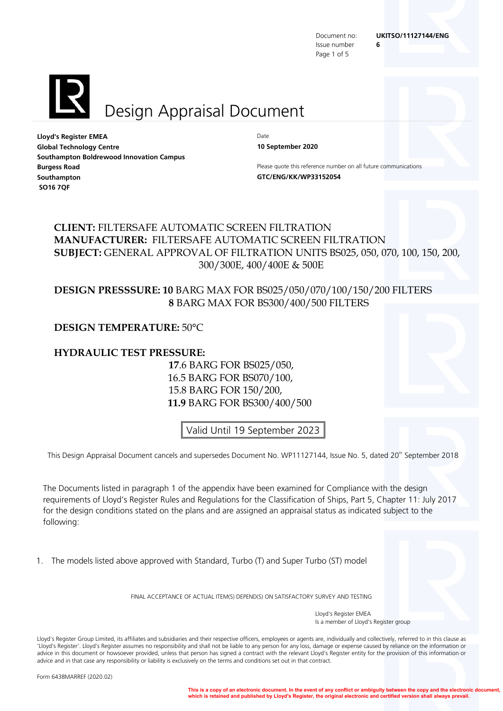Issue number **6** Page 1 of 5

# Design Appraisal Document

**Lloyd's Register EMEA** Date **Global Technology Centre 10 September 2020 Southampton Boldrewood Innovation Campus Burgess Road Please quote this reference number on all future communications Southampton GTC/ENG/KK/WP33152054 SO16 7QF**

### **CLIENT:** FILTERSAFE AUTOMATIC SCREEN FILTRATION **MANUFACTURER:** FILTERSAFE AUTOMATIC SCREEN FILTRATION **SUBJECT:** GENERAL APPROVAL OF FILTRATION UNITS BS025, 050, 070, 100, 150, 200, 300/300E, 400/400E & 500E

### **DESIGN PRESSSURE: 10** BARG MAX FOR BS025/050/070/100/150/200 FILTERS  **8** BARG MAX FOR BS300/400/500 FILTERS

### **DESIGN TEMPERATURE:** 50°C

### **HYDRAULIC TEST PRESSURE:**

 **17**.6 BARG FOR BS025/050, 16.5 BARG FOR BS070/100, 15.8 BARG FOR 150/200,  **11.9** BARG FOR BS300/400/500

Valid Until 19 September 2023

This Design Appraisal Document cancels and supersedes Document No. WP11127144, Issue No. 5, dated 20<sup>th</sup> September 2018

The Documents listed in paragraph 1 of the appendix have been examined for Compliance with the design requirements of Lloyd's Register Rules and Regulations for the Classification of Ships, Part 5, Chapter 11: July 2017 for the design conditions stated on the plans and are assigned an appraisal status as indicated subject to the following:

1. The models listed above approved with Standard, Turbo (T) and Super Turbo (ST) model

FINAL ACCEPTANCE OF ACTUAL ITEM(S) DEPEND(S) ON SATISFACTORY SURVEY AND TESTING

Lloyd's Register EMEA Is a member of Lloyd's Register group

Lloyd's Register Group Limited, its affiliates and subsidiaries and their respective officers, employees or agents are, individually and collectively, referred to in this clause as 'Lloyd's Register'. Lloyd's Register assumes no responsibility and shall not be liable to any person for any loss, damage or expense caused by reliance on the information or advice in this document or howsoever provided, unless that person has signed a contract with the relevant Lloyd's Register entity for the provision of this information or advice and in that case any responsibility or liability is exclusively on the terms and conditions set out in that contract.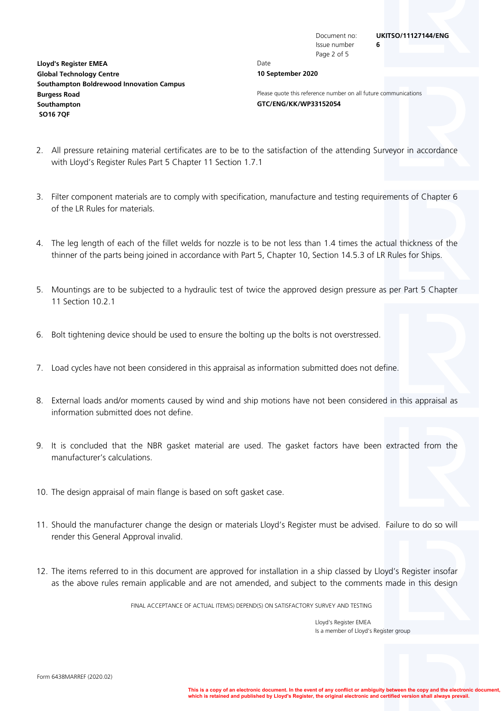Document no: **UKITSO/11127144/ENG** Issue number **6**

**Lloyd's Register EMEA** Date **Global Technology Centre 10 September 2020 Southampton Boldrewood Innovation Campus Southampton GTC/ENG/KK/WP33152054 SO16 7QF**

Page 2 of 5

**Burgess Road Please quote this reference number on all future communications** 

- 2. All pressure retaining material certificates are to be to the satisfaction of the attending Surveyor in accordance with Lloyd's Register Rules Part 5 Chapter 11 Section 1.7.1
- 3. Filter component materials are to comply with specification, manufacture and testing requirements of Chapter 6 of the LR Rules for materials.
- 4. The leg length of each of the fillet welds for nozzle is to be not less than 1.4 times the actual thickness of the thinner of the parts being joined in accordance with Part 5, Chapter 10, Section 14.5.3 of LR Rules for Ships.
- 5. Mountings are to be subjected to a hydraulic test of twice the approved design pressure as per Part 5 Chapter 11 Section 10.2.1
- 6. Bolt tightening device should be used to ensure the bolting up the bolts is not overstressed.
- 7. Load cycles have not been considered in this appraisal as information submitted does not define.
- 8. External loads and/or moments caused by wind and ship motions have not been considered in this appraisal as information submitted does not define.
- 9. It is concluded that the NBR gasket material are used. The gasket factors have been extracted from the manufacturer's calculations.
- 10. The design appraisal of main flange is based on soft gasket case.
- 11. Should the manufacturer change the design or materials Lloyd's Register must be advised. Failure to do so will render this General Approval invalid.
- 12. The items referred to in this document are approved for installation in a ship classed by Lloyd's Register insofar as the above rules remain applicable and are not amended, and subject to the comments made in this design

FINAL ACCEPTANCE OF ACTUAL ITEM(S) DEPEND(S) ON SATISFACTORY SURVEY AND TESTING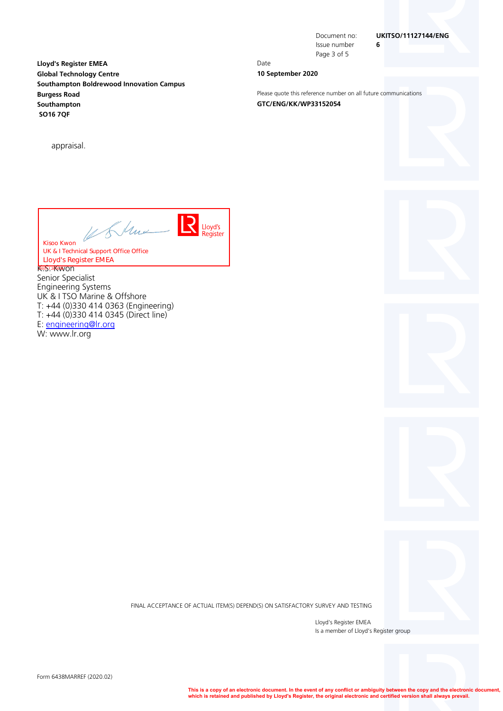**Lloyd's Register EMEA** Date **Global Technology Centre 10 September 2020 Southampton Boldrewood Innovation Campus Burgess Road Please quote this reference number on all future communications Southampton GTC/ENG/KK/WP33152054 SO16 7QF**

appraisal.

Issue number **6** Page 3 of 5

### Document no: **UKITSO/11127144/ENG**

LR031.1.2016.06 **Lloyd's Register EMEA** Kisoo Kwon UK & I Technical Support Office OfficeLloyd's Register

KR0351.20K6WVON Senior Specialist Engineering Systems UK & I TSO Marine & Offshore T: +44 (0)330 414 0363 (Engineering) T: +44 (0)330 414 0345 (Direct line) E: engineering@lr.org W: www.lr.org

FINAL ACCEPTANCE OF ACTUAL ITEM(S) DEPEND(S) ON SATISFACTORY SURVEY AND TESTING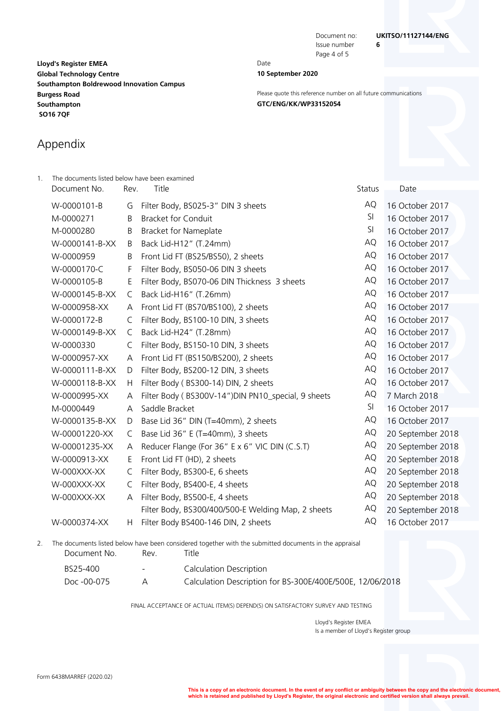Issue number **6** Page 4 of 5

**Lloyd's Register EMEA** Date **Global Technology Centre 10 September 2020 Southampton Boldrewood Innovation Campus Southampton GTC/ENG/KK/WP33152054 SO16 7QF**

**Burgess Road Please quote this reference number on all future communications** 

# Appendix

| 1. | The documents listed below have been examined                                                          |      |                                                    |        |                   |  |
|----|--------------------------------------------------------------------------------------------------------|------|----------------------------------------------------|--------|-------------------|--|
|    | Document No.                                                                                           | Rev. | Title                                              | Status | Date              |  |
|    | W-0000101-B                                                                                            | G    | Filter Body, BS025-3" DIN 3 sheets                 | AQ     | 16 October 2017   |  |
|    | M-0000271                                                                                              | Β    | <b>Bracket for Conduit</b>                         | SI     | 16 October 2017   |  |
|    | M-0000280                                                                                              | B    | <b>Bracket for Nameplate</b>                       | SI     | 16 October 2017   |  |
|    | W-0000141-B-XX                                                                                         | B    | Back Lid-H12" (T.24mm)                             | AQ     | 16 October 2017   |  |
|    | W-0000959                                                                                              | Β    | Front Lid FT (BS25/BS50), 2 sheets                 | AQ     | 16 October 2017   |  |
|    | W-0000170-C                                                                                            | F    | Filter Body, BS050-06 DIN 3 sheets                 | AQ     | 16 October 2017   |  |
|    | W-0000105-B                                                                                            | Ε    | Filter Body, BS070-06 DIN Thickness 3 sheets       | AQ     | 16 October 2017   |  |
|    | W-0000145-B-XX                                                                                         | C    | Back Lid-H16" (T.26mm)                             | AQ     | 16 October 2017   |  |
|    | W-0000958-XX                                                                                           | A    | Front Lid FT (BS70/BS100), 2 sheets                | AQ     | 16 October 2017   |  |
|    | W-0000172-B                                                                                            | C    | Filter Body, BS100-10 DIN, 3 sheets                | AQ     | 16 October 2017   |  |
|    | W-0000149-B-XX                                                                                         | C    | Back Lid-H24" (T.28mm)                             | AQ     | 16 October 2017   |  |
|    | W-0000330                                                                                              | C    | Filter Body, BS150-10 DIN, 3 sheets                | AQ     | 16 October 2017   |  |
|    | W-0000957-XX                                                                                           | A    | Front Lid FT (BS150/BS200), 2 sheets               | AQ     | 16 October 2017   |  |
|    | W-0000111-B-XX                                                                                         | D    | Filter Body, BS200-12 DIN, 3 sheets                | AQ     | 16 October 2017   |  |
|    | W-0000118-B-XX                                                                                         | H    | Filter Body (BS300-14) DIN, 2 sheets               | AQ     | 16 October 2017   |  |
|    | W-0000995-XX                                                                                           | A    | Filter Body (BS300V-14")DIN PN10_special, 9 sheets | AQ     | 7 March 2018      |  |
|    | M-0000449                                                                                              | A    | Saddle Bracket                                     | SI     | 16 October 2017   |  |
|    | W-0000135-B-XX                                                                                         | D    | Base Lid 36" DIN (T=40mm), 2 sheets                | AQ     | 16 October 2017   |  |
|    | W-00001220-XX                                                                                          | C    | Base Lid 36" E (T=40mm), 3 sheets                  | AQ     | 20 September 2018 |  |
|    | W-00001235-XX                                                                                          | A    | Reducer Flange (For 36" E x 6" VIC DIN (C.S.T)     | AQ     | 20 September 2018 |  |
|    | W-0000913-XX                                                                                           | E.   | Front Lid FT (HD), 2 sheets                        | AQ     | 20 September 2018 |  |
|    | W-000XXX-XX                                                                                            | C    | Filter Body, BS300-E, 6 sheets                     | AQ     | 20 September 2018 |  |
|    | W-000XXX-XX                                                                                            | C    | Filter Body, BS400-E, 4 sheets                     | AQ     | 20 September 2018 |  |
|    | W-000XXX-XX                                                                                            | А    | Filter Body, BS500-E, 4 sheets                     | AQ     | 20 September 2018 |  |
|    |                                                                                                        |      | Filter Body, BS300/400/500-E Welding Map, 2 sheets | AQ     | 20 September 2018 |  |
|    | W-0000374-XX                                                                                           | Н    | Filter Body BS400-146 DIN, 2 sheets                | AQ     | 16 October 2017   |  |
| 2. | The documents listed below have been considered together with the submitted documents in the appraisal |      |                                                    |        |                   |  |

| abcaments instea below mave been considered together with the submitted documents in the appraisal |        |                                                           |  |  |  |
|----------------------------------------------------------------------------------------------------|--------|-----------------------------------------------------------|--|--|--|
| Document No.                                                                                       | Rev.   | Fitle                                                     |  |  |  |
| BS25-400                                                                                           | $\sim$ | <b>Calculation Description</b>                            |  |  |  |
| Doc -00-075                                                                                        | Д      | Calculation Description for BS-300E/400E/500E, 12/06/2018 |  |  |  |

FINAL ACCEPTANCE OF ACTUAL ITEM(S) DEPEND(S) ON SATISFACTORY SURVEY AND TESTING